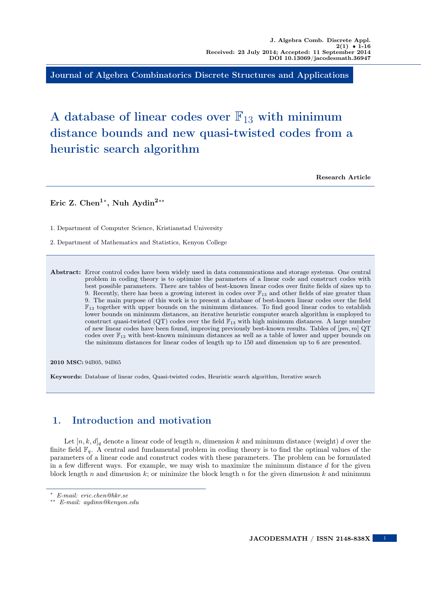Journal of Algebra Combinatorics Discrete Structures and Applications

# A database of linear codes over  $\mathbb{F}_{13}$  with minimum distance bounds and new quasi-twisted codes from a heuristic search algorithm

Research Article

Eric Z. Chen<sup>1\*</sup>, Nuh Aydin<sup>2\*\*</sup>

1. Department of Computer Science, Kristianstad University

2. Department of Mathematics and Statistics, Kenyon College

Abstract: Error control codes have been widely used in data communications and storage systems. One central problem in coding theory is to optimize the parameters of a linear code and construct codes with best possible parameters. There are tables of best-known linear codes over finite fields of sizes up to 9. Recently, there has been a growing interest in codes over  $\mathbb{F}_{13}$  and other fields of size greater than 9. The main purpose of this work is to present a database of best-known linear codes over the field  $\mathbb{F}_{13}$  together with upper bounds on the minimum distances. To find good linear codes to establish lower bounds on minimum distances, an iterative heuristic computer search algorithm is employed to construct quasi-twisted (QT) codes over the field  $\mathbb{F}_{13}$  with high minimum distances. A large number of new linear codes have been found, improving previously best-known results. Tables of  $[pm, m]$  QT codes over  $\mathbb{F}_{13}$  with best-known minimum distances as well as a table of lower and upper bounds on the minimum distances for linear codes of length up to 150 and dimension up to 6 are presented.

2010 MSC: 94B05, 94B65

Keywords: Database of linear codes, Quasi-twisted codes, Heuristic search algorithm, Iterative search

# 1. Introduction and motivation

Let  $[n, k, d]_q$  denote a linear code of length n, dimension k and minimum distance (weight) d over the finite field  $\mathbb{F}_q$ . A central and fundamental problem in coding theory is to find the optimal values of the parameters of a linear code and construct codes with these parameters. The problem can be formulated in a few different ways. For example, we may wish to maximize the minimum distance  $d$  for the given block length n and dimension  $k$ ; or minimize the block length n for the given dimension  $k$  and minimum

1

<sup>∗</sup> E-mail: eric.chen@hkr.se

<sup>∗∗</sup> E-mail: aydinn@kenyon.edu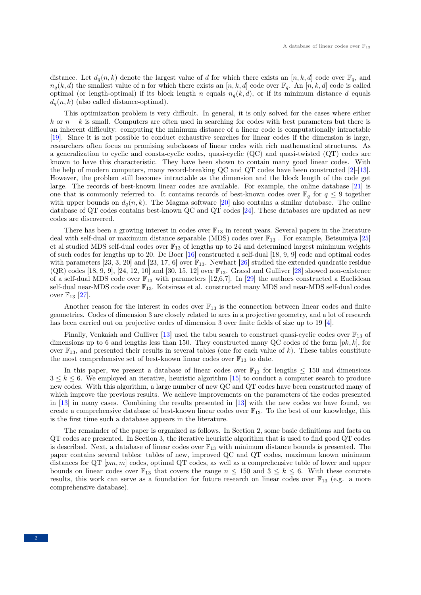distance. Let  $d_q(n, k)$  denote the largest value of d for which there exists an  $[n, k, d]$  code over  $\mathbb{F}_q$ , and  $n_q(k, d)$  the smallest value of n for which there exists an  $[n, k, d]$  code over  $\mathbb{F}_q$ . An  $[n, k, d]$  code is called optimal (or length-optimal) if its block length n equals  $n_q(k, d)$ , or if its minimum distance d equals  $d_q(n, k)$  (also called distance-optimal).

This optimization problem is very difficult. In general, it is only solved for the cases where either k or  $n - k$  is small. Computers are often used in searching for codes with best parameters but there is an inherent difficulty: computing the minimum distance of a linear code is computationally intractable [\[19\]](#page-14-0). Since it is not possible to conduct exhaustive searches for linear codes if the dimension is large, researchers often focus on promising subclasses of linear codes with rich mathematical structures. As a generalization to cyclic and consta-cyclic codes, quasi-cyclic (QC) and quasi-twisted (QT) codes are known to have this characteristic. They have been shown to contain many good linear codes. With the help of modern computers, many record-breaking QC and QT codes have been constructed [\[2\]](#page-14-1)-[\[13\]](#page-14-2). However, the problem still becomes intractable as the dimension and the block length of the code get large. The records of best-known linear codes are available. For example, the online database [\[21\]](#page-14-3) is one that is commonly referred to. It contains records of best-known codes over  $\mathbb{F}_q$  for  $q \leq 9$  together with upper bounds on  $d_q(n, k)$ . The Magma software [\[20\]](#page-14-4) also contains a similar database. The online database of QT codes contains best-known QC and QT codes [\[24\]](#page-14-5). These databases are updated as new codes are discovered.

There has been a growing interest in codes over  $\mathbb{F}_{13}$  in recent years. Several papers in the literature deal with self-dual or maximum distance separable (MDS) codes over  $\mathbb{F}_{13}$ . For example, Betsumiya [\[25\]](#page-14-6) et al studied MDS self-dual codes over  $\mathbb{F}_{13}$  of lengths up to 24 and determined largest minimum weights of such codes for lengths up to 20. De Boer [\[16\]](#page-14-7) constructed a self-dual [18, 9, 9] code and optimal codes with parameters [23, 3, 20] and [23, 17, 6] over  $\mathbb{F}_{13}$ . Newhart [\[26\]](#page-14-8) studied the extended quadratic residue  $(QR)$  codes [18, 9, 9], [24, 12, 10] and [30, 15, 12] over  $\mathbb{F}_{13}$ . Grassl and Gulliver [\[28\]](#page-14-9) showed non-existence of a self-dual MDS code over  $\mathbb{F}_{13}$  with parameters [12,6,7]. In [\[29\]](#page-15-0) the authors constructed a Euclidean self-dual near-MDS code over  $\mathbb{F}_{13}$ . Kotsireas et al. constructed many MDS and near-MDS self-dual codes over  $\mathbb{F}_{13}$  [\[27\]](#page-14-10).

Another reason for the interest in codes over  $\mathbb{F}_{13}$  is the connection between linear codes and finite geometries. Codes of dimension 3 are closely related to arcs in a projective geometry, and a lot of research has been carried out on projective codes of dimension 3 over finite fields of size up to 19 [\[4\]](#page-14-11).

Finally, Venkaiah and Gulliver  $|13|$  used the tabu search to construct quasi-cyclic codes over  $\mathbb{F}_{13}$  of dimensions up to 6 and lengths less than 150. They constructed many QC codes of the form  $[p, k]$ , for over  $\mathbb{F}_{13}$ , and presented their results in several tables (one for each value of k). These tables constitute the most comprehensive set of best-known linear codes over  $\mathbb{F}_{13}$  to date.

In this paper, we present a database of linear codes over  $\mathbb{F}_{13}$  for lengths  $\leq 150$  and dimensions  $3 \leq k \leq 6$ . We employed an iterative, heuristic algorithm [\[15\]](#page-14-12) to conduct a computer search to produce new codes. With this algorithm, a large number of new QC and QT codes have been constructed many of which improve the previous results. We achieve improvements on the parameters of the codes presented in [\[13\]](#page-14-2) in many cases. Combining the results presented in [\[13\]](#page-14-2) with the new codes we have found, we create a comprehensive database of best-known linear codes over  $\mathbb{F}_{13}$ . To the best of our knowledge, this is the first time such a database appears in the literature.

The remainder of the paper is organized as follows. In Section 2, some basic definitions and facts on QT codes are presented. In Section 3, the iterative heuristic algorithm that is used to find good QT codes is described. Next, a database of linear codes over  $\mathbb{F}_{13}$  with minimum distance bounds is presented. The paper contains several tables: tables of new, improved QC and QT codes, maximum known minimum distances for  $\mathbb{Q}T$  [pm, m] codes, optimal  $\mathbb{Q}T$  codes, as well as a comprehensive table of lower and upper bounds on linear codes over  $\mathbb{F}_{13}$  that covers the range  $n \leq 150$  and  $3 \leq k \leq 6$ . With these concrete results, this work can serve as a foundation for future research on linear codes over  $\mathbb{F}_{13}$  (e.g. a more comprehensive database).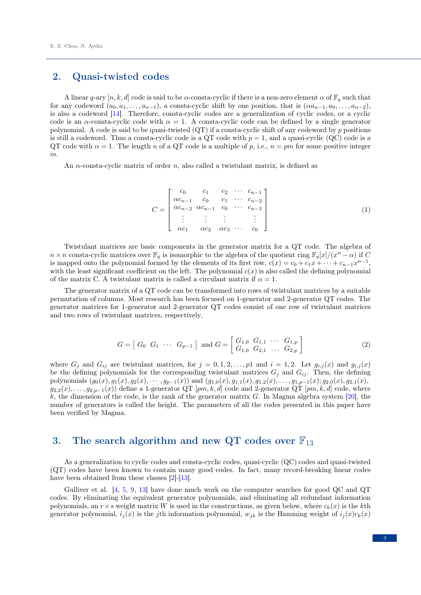# 2. Quasi-twisted codes

A linear q-ary  $[n, k, d]$  code is said to be  $\alpha$ -consta-cyclic if there is a non-zero element  $\alpha$  of  $\mathbb{F}_q$  such that for any codeword  $(a_0, a_1, \ldots, a_{n-1})$ , a consta-cyclic shift by one position, that is  $(\alpha a_{n-1}, a_0, \ldots, a_{n-2})$ , is also a codeword [\[14\]](#page-14-13). Therefore, consta-cyclic codes are a generalization of cyclic codes, or a cyclic code is an  $\alpha$ -consta-cyclic code with  $\alpha = 1$ . A consta-cyclic code can be defined by a single generator polynomial. A code is said to be quasi-twisted  $(QT)$  if a consta-cyclic shift of any codeword by p positions is still a codeword. Thus a consta-cyclic code is a QT code with  $p = 1$ , and a quasi-cyclic (QC) code is a QT code with  $\alpha = 1$ . The length n of a QT code is a multiple of p, i.e.,  $n = pm$  for some positive integer m.

An  $\alpha$ -consta-cyclic matrix of order n, also called a twistulant matrix, is defined as

$$
C = \begin{bmatrix} c_0 & c_1 & c_2 & \cdots & c_{n-1} \\ \alpha c_{n-1} & c_0 & c_1 & \cdots & c_{n-2} \\ \alpha c_{n-2} & \alpha c_{n-1} & c_0 & \cdots & c_{n-3} \\ \vdots & \vdots & \vdots & & \vdots \\ \alpha c_1 & \alpha c_2 & \alpha c_3 & \cdots & c_0 \end{bmatrix}
$$
(1)

Twistulant matrices are basic components in the generator matrix for a QT code. The algebra of  $n \times n$  consta-cyclic matrices over  $\mathbb{F}_q$  is isomorphic to the algebra of the quotient ring  $\mathbb{F}_q[x]/(x^n - \alpha)$  if C is mapped onto the polynomial formed by the elements of its first row,  $c(x) = c_0 + c_1x + \cdots + c_{n-1}x^{n-1}$ , with the least significant coefficient on the left. The polynomial  $c(x)$  is also called the defining polynomial of the matrix C. A twistulant matrix is called a circulant matrix if  $\alpha = 1$ .

The generator matrix of a QT code can be transformed into rows of twistulant matrices by a suitable permutation of columns. Most research has been focused on 1-generator and 2-generator QT codes. The generator matrices for 1-generator and 2-generator QT codes consist of one row of twistulant matrices and two rows of twistulant matrices, respectively,

$$
G = \begin{bmatrix} G_0 & G_1 & \cdots & G_{p-1} \end{bmatrix} \text{ and } G = \begin{bmatrix} G_{1,0} & G_{1,1} & \cdots & G_{1,p} \\ G_{1,0} & G_{2,1} & \cdots & G_{2,p} \end{bmatrix} \tag{2}
$$

where  $G_j$  and  $G_{ij}$  are twistulant matrices, for  $j = 0, 1, 2, ..., p1$  and  $i = 1, 2$ . Let  $g_{i,j}(x)$  and  $g_{i,j}(x)$ be the defining polynomials for the corresponding twistulant matrices  $G_j$  and  $G_{ij}$ . Then, the defining polynomials  $(g_0(x), g_1(x), g_2(x), \cdots, g_{p-1}(x))$  and  $(g_{1,0}(x), g_{1,1}(x), g_{1,2}(x), \ldots, g_{1,p-1}(x); g_{2,0}(x), g_{2,1}(x),$  $g_{2,2}(x), \ldots, g_{2,p-1}(x)$  define a 1-generator QT [pm, k, d] code and 2-generator QT [pm, k, d] code, where  $k$ , the dimension of the code, is the rank of the generator matrix  $G$ . In Magma algebra system [\[20\]](#page-14-4), the number of generators is called the height. The parameters of all the codes presented in this paper have been verified by Magma.

### 3. The search algorithm and new QT codes over  $\mathbb{F}_{13}$

As a generalization to cyclic codes and consta-cyclic codes, quasi-cyclic (QC) codes and quasi-twisted (QT) codes have been known to contain many good codes. In fact, many record-breaking linear codes have been obtained from these classes [\[2\]](#page-14-1)-[\[13\]](#page-14-2).

Gulliver et al. [\[4,](#page-14-11) [5,](#page-14-14) [9,](#page-14-15) [13\]](#page-14-2) have done much work on the computer searches for good QC and QT codes. By eliminating the equivalent generator polynomials, and eliminating all redundant information polynomials, an  $r \times s$  weight matrix W is used in the constructions, as given below, where  $c_k(x)$  is the kth generator polynomial,  $i_j(x)$  is the j<sup>th</sup> information polynomial,  $w_{ik}$  is the Hamming weight of  $i_j(x)c_k(x)$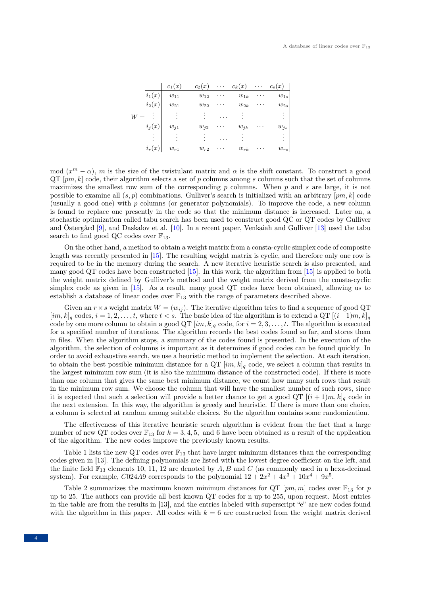|          | $c_1(x)$       | $c_2(x)$ | $\cdots$ | $c_k(x)$ | . | $c_s(x)$ |
|----------|----------------|----------|----------|----------|---|----------|
| $i_1(x)$ | $w_{11}$       | $w_{12}$ | .        | $w_{1k}$ | . | $w_{1s}$ |
| $i_2(x)$ | $w_{21}$       | $w_{22}$ | .        | $w_{2k}$ | . | $w_{2s}$ |
|          |                |          | .        |          |   |          |
| $i_i(x)$ | $w_{j1}$       | $w_{i2}$ |          | $w_{jk}$ |   | $w_{js}$ |
|          | $\ddot{\cdot}$ |          | $\cdot$  |          |   |          |
| $i_r(x)$ | $w_{r1}$       | $w_{r2}$ |          | $w_{rk}$ | . | $w_{rs}$ |

mod  $(x^m - \alpha)$ , m is the size of the twistulant matrix and  $\alpha$  is the shift constant. To construct a good  $\mathrm{QT}[pm, k]$  code, their algorithm selects a set of p columns among s columns such that the set of columns maximizes the smallest row sum of the corresponding  $p$  columns. When  $p$  and  $s$  are large, it is not possible to examine all  $(s, p)$  combinations. Gulliver's search is initialized with an arbitrary  $[pm, k]$  code (usually a good one) with p columns (or generator polynomials). To improve the code, a new column is found to replace one presently in the code so that the minimum distance is increased. Later on, a stochastic optimization called tabu search has been used to construct good QC or QT codes by Gulliver and Östergård [\[9\]](#page-14-15), and Daskalov et al. [\[10\]](#page-14-16). In a recent paper, Venkaiah and Gulliver [\[13\]](#page-14-2) used the tabu search to find good QC codes over  $\mathbb{F}_{13}$ .

On the other hand, a method to obtain a weight matrix from a consta-cyclic simplex code of composite length was recently presented in [\[15\]](#page-14-12). The resulting weight matrix is cyclic, and therefore only one row is required to be in the memory during the search. A new iterative heuristic search is also presented, and many good QT codes have been constructed [\[15\]](#page-14-12). In this work, the algorithm from [\[15\]](#page-14-12) is applied to both the weight matrix defined by Gulliver's method and the weight matrix derived from the consta-cyclic simplex code as given in [\[15\]](#page-14-12). As a result, many good QT codes have been obtained, allowing us to establish a database of linear codes over  $\mathbb{F}_{13}$  with the range of parameters described above.

Given an  $r \times s$  weight matrix  $W = (w_{ij})$ . The iterative algorithm tries to find a sequence of good QT  $[i, k]_q$  codes,  $i = 1, 2, \ldots, t$ , where  $t < s$ . The basic idea of the algorithm is to extend a QT  $[(i-1)m, k]_q$ code by one more column to obtain a good QT  $[im, k]_q$  code, for  $i = 2, 3, \ldots, t$ . The algorithm is executed for a specified number of iterations. The algorithm records the best codes found so far, and stores them in files. When the algorithm stops, a summary of the codes found is presented. In the execution of the algorithm, the selection of columns is important as it determines if good codes can be found quickly. In order to avoid exhaustive search, we use a heuristic method to implement the selection. At each iteration, to obtain the best possible minimum distance for a  $\mathbb{Q}T$  [im, k]<sub>q</sub> code, we select a column that results in the largest minimum row sum (it is also the minimum distance of the constructed code). If there is more than one column that gives the same best minimum distance, we count how many such rows that result in the minimum row sum. We choose the column that will have the smallest number of such rows, since it is expected that such a selection will provide a better chance to get a good QT  $[(i+1)m, k]_q$  code in the next extension. In this way, the algorithm is greedy and heuristic. If there is more than one choice, a column is selected at random among suitable choices. So the algorithm contains some randomization.

The effectiveness of this iterative heuristic search algorithm is evident from the fact that a large number of new QT codes over  $\mathbb{F}_{13}$  for  $k = 3, 4, 5$ , and 6 have been obtained as a result of the application of the algorithm. The new codes improve the previously known results.

Table 1 lists the new QT codes over  $\mathbb{F}_{13}$  that have larger minimum distances than the corresponding codes given in [13]. The defining polynomials are listed with the lowest degree coefficient on the left, and the finite field  $\mathbb{F}_{13}$  elements 10, 11, 12 are denoted by A, B and C (as commonly used in a hexa-decimal system). For example, C024A9 corresponds to the polynomial  $12 + 2x^2 + 4x^3 + 10x^4 + 9x^5$ .

Table 2 summarizes the maximum known minimum distances for QT  $[pm, m]$  codes over  $\mathbb{F}_{13}$  for p up to 25. The authors can provide all best known QT codes for n up to 255, upon request. Most entries in the table are from the results in [13], and the entries labeled with superscript "e" are new codes found with the algorithm in this paper. All codes with  $k = 6$  are constructed from the weight matrix derived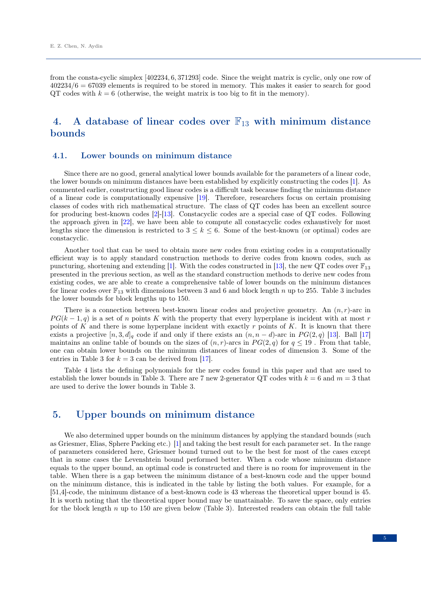from the consta-cyclic simplex [402234, 6, 371293] code. Since the weight matrix is cyclic, only one row of  $402234/6 = 67039$  elements is required to be stored in memory. This makes it easier to search for good QT codes with  $k = 6$  (otherwise, the weight matrix is too big to fit in the memory).

# 4. A database of linear codes over  $\mathbb{F}_{13}$  with minimum distance bounds

#### 4.1. Lower bounds on minimum distance

Since there are no good, general analytical lower bounds available for the parameters of a linear code, the lower bounds on minimum distances have been established by explicitly constructing the codes [\[1\]](#page-14-17). As commented earlier, constructing good linear codes is a difficult task because finding the minimum distance of a linear code is computationally expensive [\[19\]](#page-14-0). Therefore, researchers focus on certain promising classes of codes with rich mathematical structure. The class of QT codes has been an excellent source for producing best-known codes [\[2\]](#page-14-1)-[\[13\]](#page-14-2). Constacyclic codes are a special case of QT codes. Following the approach given in [\[22\]](#page-14-18), we have been able to compute all constacyclic codes exhaustively for most lengths since the dimension is restricted to  $3 \leq k \leq 6$ . Some of the best-known (or optimal) codes are constacyclic.

Another tool that can be used to obtain more new codes from existing codes in a computationally efficient way is to apply standard construction methods to derive codes from known codes, such as puncturing, shortening and extending [\[1\]](#page-14-17). With the codes constructed in [\[13\]](#page-14-2), the new QT codes over  $\mathbb{F}_{13}$ presented in the previous section, as well as the standard construction methods to derive new codes from existing codes, we are able to create a comprehensive table of lower bounds on the minimum distances for linear codes over  $\mathbb{F}_{13}$  with dimensions between 3 and 6 and block length n up to 255. Table 3 includes the lower bounds for block lengths up to 150.

There is a connection between best-known linear codes and projective geometry. An  $(n, r)$ -arc in  $PG(k-1,q)$  is a set of n points K with the property that every hyperplane is incident with at most r points of K and there is some hyperplane incident with exactly r points of K. It is known that there exists a projective  $[n, 3, d]_q$  code if and only if there exists an  $(n, n - d)$ -arc in  $PG(2, q)$  [\[13\]](#page-14-2). Ball [\[17\]](#page-14-19) maintains an online table of bounds on the sizes of  $(n, r)$ -arcs in  $PG(2, q)$  for  $q \leq 19$ . From that table, one can obtain lower bounds on the minimum distances of linear codes of dimension 3. Some of the entries in Table 3 for  $k = 3$  can be derived from [\[17\]](#page-14-19).

Table 4 lists the defining polynomials for the new codes found in this paper and that are used to establish the lower bounds in Table 3. There are 7 new 2-generator QT codes with  $k = 6$  and  $m = 3$  that are used to derive the lower bounds in Table 3.

### 5. Upper bounds on minimum distance

We also determined upper bounds on the minimum distances by applying the standard bounds (such as Griesmer, Elias, Sphere Packing etc.) [\[1\]](#page-14-17) and taking the best result for each parameter set. In the range of parameters considered here, Griesmer bound turned out to be the best for most of the cases except that in some cases the Levenshtein bound performed better. When a code whose minimum distance equals to the upper bound, an optimal code is constructed and there is no room for improvement in the table. When there is a gap between the minimum distance of a best-known code and the upper bound on the minimum distance, this is indicated in the table by listing the both values. For example, for a [51,4]-code, the minimum distance of a best-known code is 43 whereas the theoretical upper bound is 45. It is worth noting that the theoretical upper bound may be unattainable. To save the space, only entries for the block length n up to 150 are given below (Table 3). Interested readers can obtain the full table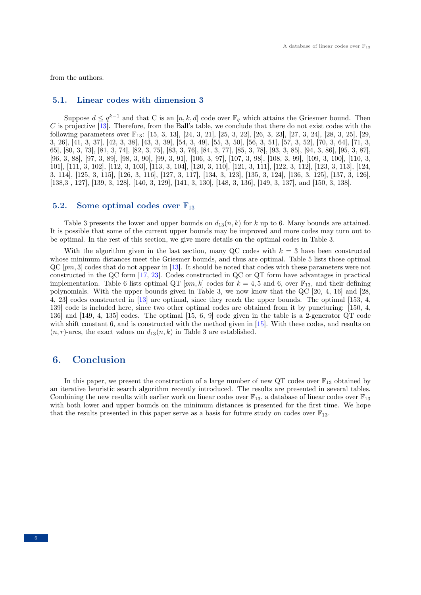from the authors.

#### 5.1. Linear codes with dimension 3

Suppose  $d \leq q^{k-1}$  and that C is an  $[n, k, d]$  code over  $\mathbb{F}_q$  which attains the Griesmer bound. Then C is projective  $\overline{13}$ . Therefore, from the Ball's table, we conclude that there do not exist codes with the following parameters over  $\mathbb{F}_{13}$ : [15, 3, 13], [24, 3, 21], [25, 3, 22], [26, 3, 23], [27, 3, 24], [28, 3, 25], [29, 3, 26], [41, 3, 37], [42, 3, 38], [43, 3, 39], [54, 3, 49], [55, 3, 50], [56, 3, 51], [57, 3, 52], [70, 3, 64], [71, 3, 65], [80, 3, 73], [81, 3, 74], [82, 3, 75], [83, 3, 76], [84, 3, 77], [85, 3, 78], [93, 3, 85], [94, 3, 86], [95, 3, 87], [96, 3, 88], [97, 3, 89], [98, 3, 90], [99, 3, 91], [106, 3, 97], [107, 3, 98], [108, 3, 99], [109, 3, 100], [110, 3, 101], [111, 3, 102], [112, 3, 103], [113, 3, 104], [120, 3, 110], [121, 3, 111], [122, 3, 112], [123, 3, 113], [124, 3, 114], [125, 3, 115], [126, 3, 116], [127, 3, 117], [134, 3, 123], [135, 3, 124], [136, 3, 125], [137, 3, 126], [138,3 , 127], [139, 3, 128], [140, 3, 129], [141, 3, 130], [148, 3, 136], [149, 3, 137], and [150, 3, 138].

#### 5.2. Some optimal codes over  $\mathbb{F}_{13}$

Table 3 presents the lower and upper bounds on  $d_{13}(n, k)$  for k up to 6. Many bounds are attained. It is possible that some of the current upper bounds may be improved and more codes may turn out to be optimal. In the rest of this section, we give more details on the optimal codes in Table 3.

With the algorithm given in the last section, many QC codes with  $k = 3$  have been constructed whose minimum distances meet the Griesmer bounds, and thus are optimal. Table 5 lists those optimal  $QC$  [ $pm$ , 3] codes that do not appear in [\[13\]](#page-14-2). It should be noted that codes with these parameters were not constructed in the QC form [\[17,](#page-14-19) [23\]](#page-14-20). Codes constructed in QC or QT form have advantages in practical implementation. Table 6 lists optimal QT  $[pm, k]$  codes for  $k = 4, 5$  and 6, over  $\mathbb{F}_{13}$ , and their defining polynomials. With the upper bounds given in Table 3, we now know that the QC [20, 4, 16] and [28, 4, 23] codes constructed in [\[13\]](#page-14-2) are optimal, since they reach the upper bounds. The optimal [153, 4, 139] code is included here, since two other optimal codes are obtained from it by puncturing: [150, 4, 136] and [149, 4, 135] codes. The optimal [15, 6, 9] code given in the table is a 2-generator QT code with shift constant 6, and is constructed with the method given in [\[15\]](#page-14-12). With these codes, and results on  $(n, r)$ -arcs, the exact values on  $d_{13}(n, k)$  in Table 3 are established.

## 6. Conclusion

In this paper, we present the construction of a large number of new QT codes over  $\mathbb{F}_{13}$  obtained by an iterative heuristic search algorithm recently introduced. The results are presented in several tables. Combining the new results with earlier work on linear codes over  $\mathbb{F}_{13}$ , a database of linear codes over  $\mathbb{F}_{13}$ with both lower and upper bounds on the minimum distances is presented for the first time. We hope that the results presented in this paper serve as a basis for future study on codes over  $\mathbb{F}_{13}$ .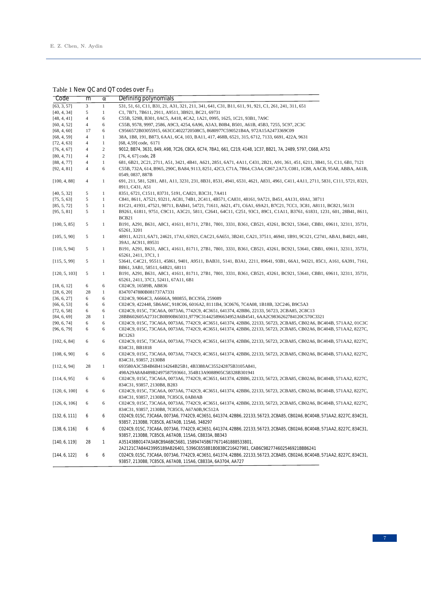#### Table 1 New QC and QT codes over F<sub>13</sub>

| Code          | m              | α            | Defining polynomials                                                                                                                                                      |
|---------------|----------------|--------------|---------------------------------------------------------------------------------------------------------------------------------------------------------------------------|
| [63, 3, 57]   | 3              | $\mathbf{1}$ | 531, 51, 61, C11, B31, 21, A31, 321, 211, 341, 641, C31, B11, 611, 91, 921, C1, 261, 241, 311, 651                                                                        |
| [40, 4, 34]   | 5              | $\mathbf{1}$ | C1, 7B71, 7B611, 2911, A9511, 3B921, BC21, 69731                                                                                                                          |
| [48, 4, 41]   | $\overline{4}$ | 6            | C55B, 529B, B301, 0AC5, A418, 4CA2, 1A21, 0995, 1625, 1C21, 93B1, 7A9C                                                                                                    |
| [60, 4, 52]   | $\overline{4}$ | 6            | C55B, 9578, 9997, 2586, A9C3, 4254, 6A96, A3A3, B0B4, B501, A61B, 45B3, 7255, 5C97, 2C3C                                                                                  |
| [68, 4, 60]   | 17             | 6            | C9566572B03055915, 663CC4022720508C5, 8680977C590521B4A, 972A15A2473369C09                                                                                                |
| [68, 4, 59]   | $\overline{4}$ | $\mathbf{1}$ | 38A, 1B8, 191, B873, 6AA1, 6C4, 103, BA11, 417, 468B, 6521, 315, 6712, 7133, 6691, 422A, 9631                                                                             |
| [72, 4, 63]   | $\overline{4}$ | $\mathbf{1}$ | [68, 4,59] code, 6171                                                                                                                                                     |
| [76, 4, 67]   | $\overline{4}$ | $\sqrt{2}$   | 9012, BB74, 3631, 849, A98, 7C26, C8CA, 6C74, 7BA1, 661, C219, 4148, 1C37, BB21, 7A, 2489, 5797, C668, A751                                                               |
| [80, 4, 71]   | $\overline{4}$ | $\mathbf{2}$ | $[76, 4, 67]$ code, 28                                                                                                                                                    |
| [88, 4, 77]   | $\overline{4}$ | $\mathbf{1}$ | 681, 6B21, 2C21, 2711, A51, 3421, 4B41, A621, 2851, 6A71, 4A11, C431, 2B21, A91, 361, 451, 6211, 3B41, 51, C11, 6B1, 7121                                                 |
| [92, 4, 81]   | $\overline{4}$ | 6            | C55B, 732A, 614, B965, 290C, BA84, 9113, 8251, 42C3, C71A, 7B64, C3A4, C867, 2A73, C081, 1C88, AACB, 95A8, ABBA, A61B,<br>0549, 0837, 887B                                |
| [100, 4, 88]  | $\overline{4}$ | $\mathbf{1}$ | 691, 211, 581, 5281, A81, A11, 3231, 231, 8B31, 8531, 4941, 6531, 4621, A831, 4961, C411, 4A11, 2711, 5831, C111, 5721, 8321,<br>8911, C431, A51                          |
| [40, 5, 32]   | 5              | $\mathbf{1}$ | 8351, 6721, C1511, 83731, 5191, CA821, B3C31, 7A411                                                                                                                       |
| [75, 5, 63]   | 5              | $\mathbf{1}$ | C841, 8611, A7521, 93211, AC81, 74B1, 2C411, 4B571, CA831, 48161, 9A721, B451, 4A131, 69A1, 38711                                                                         |
| [85, 5, 72]   | 5              | $\mathbf{1}$ | 81C21, 41931, 47521, 98711, BAB41, 54721, 71611, A621, 471, C6A1, 69A21, B7C21, 7CC1, 3C81, A8111, BC821, 56131                                                           |
| [95, 5, 81]   | 5              | $\mathbf{1}$ | B9261, 61811, 9751, C9C11, A3C21, 5811, C2641, 64C11, C251, 93C1, 89C1, C1A11, B3761, 61831, 1231, 601, 28B41, 8611,<br>BCB21                                             |
| [100, 5, 85]  | 5              | $\mathbf{1}$ | B191, A291, B631, A8C1, 41611, 81711, 27B1, 7801, 3331, B361, CB521, 43261, BC921, 53641, CBB1, 69611, 32311, 35731,<br>65261, 3201                                       |
| [105, 5, 90]  | 5              | $\mathbf{1}$ | 48911, A1211, 6A71, 24621, 17A1, 63921, CAC21, 6A651, 3B241, CA21, 37511, 46941, 1B91, 9C121, C2741, ABA1, B4821, 4481,<br>39A1, AC911, 89531                             |
| [110, 5, 94]  | 5              | $\mathbf{1}$ | B191, A291, B631, A8C1, 41611, 81711, 27B1, 7801, 3331, B361, CB521, 43261, BC921, 53641, CBB1, 69611, 32311, 35731,<br>65261, 2411, 37C1, 1                              |
| [115, 5, 99]  | 5              | $\mathbf{1}$ | 53641, C4C21, 95511, 45861, 9401, A9511, BAB31, 5141, B3A1, 2211, 89641, 93B1, 66A1, 94321, 85C1, A161, 6A391, 7161,<br>BB61, 3AB1, 58511, 64B21, 68111                   |
| [120, 5, 103] | 5              | $\mathbf{1}$ | B191, A291, B631, A8C1, 41611, 81711, 27B1, 7801, 3331, B361, CB521, 43261, BC921, 53641, CBB1, 69611, 32311, 35731,<br>65261, 2411, 37C1, 52411, 67A11, 6B1              |
| [18, 6, 12]   | 6              | 6            | C024C9, 16589B, AB836                                                                                                                                                     |
| [28, 6, 20]   | 28             | $\mathbf{1}$ | 83470747880B081737A7331                                                                                                                                                   |
| [36, 6, 27]   | 6              | 6            | C024C9, 9064C3, A6666A, 980855, BCC956, 259089                                                                                                                            |
| [66, 6, 53]   | 6              | 6            | C024C9, 422448, 5B6A6C, 918C06, 6016A2, 8111B4, 3C0676, 7C4A08, 1B18B, 32C246, B9C5A3                                                                                     |
| [72, 6, 58]   | 6              | 6            | C024C9, 015C, 73CA6A, 0073A6, 7742C9, 4C3651, 641374, 42BB6, 22133, 56723, 2CBA85, 2C8C13                                                                                 |
| [84, 6, 69]   | 28             | $\mathbf{1}$ | 28BB602605A2731CB0B90B65031,9779C314425896634952A6B4541, 6AA2C9836262784120C570C3321                                                                                      |
| [90, 6, 74]   | 6              | 6            | C024C9, 015C, 73CA6A, 0073A6, 7742C9, 4C3651, 641374, 42BB6, 22133, 56723, 2CBA85, CB02A6, BC404B, 571AA2, 01C3C                                                          |
| [96, 6, 79]   | 6              | 6            | C024C9, 015C, 73CA6A, 0073A6, 7742C9, 4C3651, 641374, 42BB6, 22133, 56723, 2CBA85, CB02A6, BC404B, 571AA2, 8227C,<br><b>BC1263</b>                                        |
| [102, 6, 84]  | 6              | 6            | C024C9, 015C, 73CA6A, 0073A6, 7742C9, 4C3651, 641374, 42BB6, 22133, 56723, 2CBA85, CB02A6, BC404B, 571AA2, 8227C,                                                         |
|               |                |              | 834C31, BB1818                                                                                                                                                            |
| [108, 6, 90]  | 6              | 6            | C024C9, 015C, 73CA6A, 0073A6, 7742C9, 4C3651, 641374, 42BB6, 22133, 56723, 2CBA85, CB02A6, BC404B, 571AA2, 8227C,<br>834C31, 93857, 2130B8                                |
| [112, 6, 94]  | 28             | $\mathbf{1}$ | 693580A3C5B4B6B4114264B25B1, 4B3388AC355242875B3105A841,                                                                                                                  |
|               |                |              | 498A29A8A8489B2497587593661.354B13A9088905C58328B301941                                                                                                                   |
| [114, 6, 95]  | 6              | 6            | C024C9, 015C, 73CA6A, 0073A6, 7742C9, 4C3651, 641374, 42BB6, 22133, 56723, 2CBA85, CB02A6, BC404B, 571AA2, 8227C,<br>834C31, 93857, 2130B8, B283                          |
| [120, 6, 100] | 6              | 6            | C024C9, 015C, 73CA6A, 0073A6, 7742C9, 4C3651, 641374, 42BB6, 22133, 56723, 2CBA85, CB02A6, BC404B, 571AA2, 8227C,<br>834C31, 93857, 2130B8, 7C85C6, 0AB0AB                |
| [126, 6, 106] | 6              | 6            | C024C9, 015C, 73CA6A, 0073A6, 7742C9, 4C3651, 641374, 42BB6, 22133, 56723, 2CBA85, CB02A6, BC404B, 571AA2, 8227C,<br>834C31, 93857, 2130B8, 7C85C6, A67A0B, 9C512A        |
| [132, 6, 111] | 6              | 6            | ,234C9,015C,73CA6A,0073A6,7742C9,4C3651,641374,42BB6,22133,56723,2CBA85,CB02A6,BC404B,571AA2,8227C,834C31                                                                 |
| [138, 6, 116] | 6              | 6            | 93857, 2130B8, 7C85C6, A67A0B, 115A6, 348297<br>C024C9,015C,73CA6A,0073A6,7742C9,4C3651,641374,42BB6,22133,56723,2CBA85,CB02A6,BC404B,571AA2,8227C,834C31,                |
|               |                |              | 93857, 2130B8, 7C85C6, A67A0B, 115A6, C8833A, BB343                                                                                                                       |
| [140, 6, 119] | 28             | 1            | A351438B0147A3ABCB9A6BC5681, 15894745B677671461888533801,                                                                                                                 |
|               |                |              | 2A2121C7A84423995189AB26401, 5396C6558B1B083BC216427981, CAB6C982774602546921BBB6241                                                                                      |
| [144, 6, 122] | 6              | 6            | C024C9,015C,73CA6A,0073A6,7742C9,4C3651,641374,42BB6,22133,56723,2CBA85,CB02A6,BC404B,571AA2,8227C,834C31,<br>93857, 2130B8, 7C85C6, A67A0B, 115A6, C8833A, 6A3704, AA727 |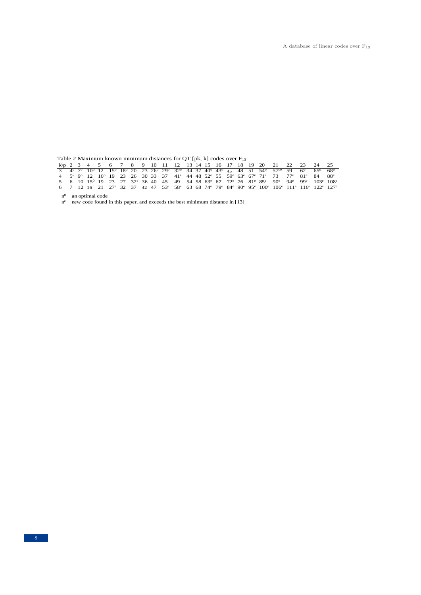Table 2 Maximum known minimum distances for QT [pk, k] codes over  $F_{13}$ 

|  |  |  |  |  |  |  |  |  |  |  | k\p   2   3   4   5   6   7   8   9   10   11   12  13  14  15  16  17  18  19  20  21  22  23  24  25                                                                                                                                                               |  |
|--|--|--|--|--|--|--|--|--|--|--|----------------------------------------------------------------------------------------------------------------------------------------------------------------------------------------------------------------------------------------------------------------------|--|
|  |  |  |  |  |  |  |  |  |  |  | $3\frac{1}{4}$ $4^{\circ}$ $7^{\circ}$ $10^{\circ}$ 12 $15^{\circ}$ 18° 20 23 26° 29° 32° 34 37 40° 43° 45 48 51 54° 57° 59 62 65° 68°                                                                                                                               |  |
|  |  |  |  |  |  |  |  |  |  |  | 4 $5^{\circ}$ 9 <sup>o</sup> 12 16 <sup>o</sup> 19 23 26 30 33 37 41 <sup>e</sup> 44 48 52 <sup>e</sup> 55 59 <sup>e</sup> 63 <sup>e</sup> 67 <sup>e</sup> 71 <sup>e</sup> 73 77 <sup>e</sup> 81 <sup>e</sup> 84 88 <sup>e</sup>                                     |  |
|  |  |  |  |  |  |  |  |  |  |  | 5 6 10 15 <sup>0</sup> 19 23 27 32 <sup>e</sup> 36 40 45 49 54 58 63 <sup>e</sup> 67 72 <sup>e</sup> 76 81 <sup>e</sup> 85 <sup>e</sup> 90 <sup>e</sup> 94 <sup>e</sup> 99 <sup>e</sup> 103 <sup>e</sup> 108 <sup>e</sup>                                            |  |
|  |  |  |  |  |  |  |  |  |  |  | 6 7 12 16 21 27 <sup>e</sup> 32 37 42 47 53 <sup>e</sup> 58 <sup>e</sup> 63 68 74 <sup>e</sup> 79 <sup>e</sup> 84 <sup>e</sup> 90 <sup>e</sup> 95 <sup>e</sup> 100 <sup>e</sup> 106 <sup>e</sup> 111 <sup>e</sup> 116 <sup>e</sup> 122 <sup>e</sup> 127 <sup>e</sup> |  |

n 0 an optimal code

n e new code found in this paper, and exceeds the best minimum distance in [13]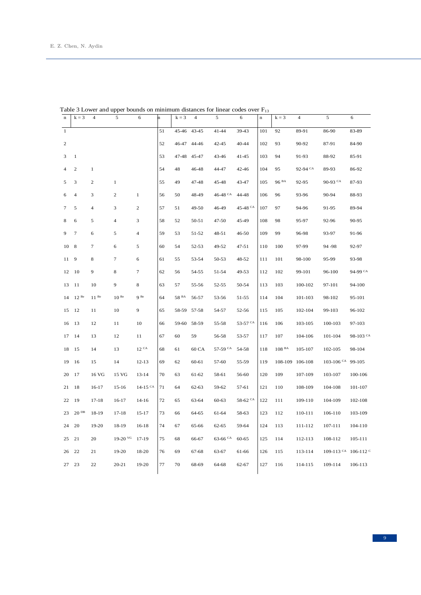| $\mathbf n$    | $k = 3$          | $\overline{4}$ | 5                | 6                     | 'n | $k = 3$          | $\overline{4}$ | 5          | 6                   | $\bf n$ | $k = 3$           | 4               | 5                                      | 6         |
|----------------|------------------|----------------|------------------|-----------------------|----|------------------|----------------|------------|---------------------|---------|-------------------|-----------------|----------------------------------------|-----------|
| $\mathbf{1}$   |                  |                |                  |                       | 51 | 45-46            | 43-45          | $41 - 44$  | 39-43               | 101     | 92                | 89-91           | 86-90                                  | 83-89     |
| $\overline{2}$ |                  |                |                  |                       | 52 |                  | 46-47 44-46    | $42 - 45$  | 40-44               | 102     | 93                | 90-92           | 87-91                                  | 84-90     |
| 3              | $\mathbf{1}$     |                |                  |                       | 53 | $47 - 48$        | 45-47          | 43-46      | $41-45$             | 103     | 94                | 91-93           | 88-92                                  | 85-91     |
| 4              | $\mathbf{2}$     | $\mathbf{1}$   |                  |                       | 54 | 48               | 46-48          | 44-47      | 42-46               | 104     | 95                | 92-94 CA        | 89-93                                  | 86-92     |
| 5              | 3                | $\overline{c}$ | $\mathbf{1}$     |                       | 55 | 49               | 47-48          | 45-48      | 43-47               | 105     | 96 <sup>BA</sup>  | 92-95           | 90-93 CA                               | 87-93     |
| 6              | $\overline{4}$   | 3              | $\mathfrak{2}$   | $\mathbf{1}$          | 56 | 50               | 48-49          | 46-48 $CA$ | 44-48               | 106     | 96                | 93-96           | 90-94                                  | 88-93     |
| 7              | 5                | $\overline{4}$ | 3                | 2                     | 57 | 51               | 49-50          | 46-49      | 45-48 $CA$          | 107     | 97                | 94-96           | 91-95                                  | 89-94     |
| 8              | 6                | 5              | $\overline{4}$   | 3                     | 58 | 52               | 50-51          | 47-50      | 45-49               | 108     | 98                | 95-97           | 92-96                                  | 90-95     |
| 9              | $\overline{7}$   | 6              | 5                | $\overline{4}$        | 59 | 53               | 51-52          | 48-51      | $46 - 50$           | 109     | 99                | 96-98           | 93-97                                  | 91-96     |
| 10             | 8                | $\tau$         | 6                | 5                     | 60 | 54               | 52-53          | 49-52      | $47 - 51$           | 110     | 100               | 97-99           | 94 - 98                                | 92-97     |
| 11             | 9                | 8              | $\overline{7}$   | 6                     | 61 | 55               | 53-54          | 50-53      | 48-52               | 111     | 101               | 98-100          | 95-99                                  | 93-98     |
| 12             | 10               | 9              | $\,$ 8 $\,$      | $\tau$                | 62 | 56               | 54-55          | 51-54      | 49-53               | 112     | 102               | 99-101          | 96-100                                 | 94-99 CA  |
| 13             | 11               | 10             | 9                | 8                     | 63 | 57               | 55-56          | 52-55      | 50-54               | 113     | 103               | 100-102         | 97-101                                 | 94-100    |
| 14             | $12^{Be}$        | $11^{Be}$      | $10^{Bc}$        | $9B$ e                | 64 | 58 <sup>BA</sup> | 56-57          | 53-56      | 51-55               | 114     | 104               | 101-103         | 98-102                                 | 95-101    |
| 15             | 12               | 11             | 10               | 9                     | 65 |                  | 58-59 57-58    | 54-57      | 52-56               | 115     | 105               | 102-104         | 99-103                                 | 96-102    |
| 16             | 13               | 12             | 11               | 10                    | 66 |                  | 59-60 58-59    | 55-58      | 53-57 CA            | 116     | 106               | 103-105         | 100-103                                | 97-103    |
| 17             | 14               | 13             | 12               | 11                    | 67 | 60               | 59             | 56-58      | 53-57               | 117     | 107               | 104-106         | 101-104                                | 98-103 CA |
| 18             | 15               | 14             | 13               | 12 <sup>CA</sup>      | 68 | 61               | 60 CA          | 57-59 CA   | 54-58               | 118     | 108 <sup>BA</sup> | 105-107         | 102-105                                | 98-104    |
| 19             | 16               | 15             | 14               | $12 - 13$             | 69 | 62               | 60-61          | 57-60      | 55-59               | 119     |                   | 108-109 106-108 | 103-106 <sup>CA</sup> 99-105           |           |
| 20             | 17               | 16 VG          | 15 VG            | $13 - 14$             | 70 | 63               | 61-62          | 58-61      | 56-60               | 120     | 109               | 107-109         | 103-107                                | 100-106   |
| 21             | 18               | $16-17$        | $15-16$          | $14-15$ <sup>CA</sup> | 71 | 64               | 62-63          | 59-62      | 57-61               | 121     | 110               | 108-109         | 104-108                                | 101-107   |
| 22             | 19               | $17 - 18$      | $16-17$          | $14-16$               | 72 | 65               | 63-64          | 60-63      | 58-62 <sup>CA</sup> | 122     | 111               | 109-110         | 104-109                                | 102-108   |
| 23             | 20 <sup>DB</sup> | 18-19          | $17-18$          | $15-17$               | 73 | 66               | 64-65          | 61-64      | 58-63               | 123     | 112               | 110-111         | 106-110                                | 103-109   |
| 24             | 20               | $19-20$        | 18-19            | $16-18$               | 74 | 67               | 65-66          | $62 - 65$  | 59-64               | 124     | 113               | 111-112         | 107-111                                | 104-110   |
| 25             | 21               | 20             | $19-20$ VG 17-19 |                       | 75 | 68               | 66-67          | $63-66$ CA | 60-65               | 125     | 114               | 112-113         | 108-112                                | 105-111   |
| 26             | 22               | 21             | $19-20$          | 18-20                 | 76 | 69               | 67-68          | 63-67      | 61-66               | 126     | 115               | 113-114         | 109-113 $\text{CA}$ 106-112 $\text{C}$ |           |
| 27             | 23               | 22             | $20 - 21$        | 19-20                 | 77 | 70               | 68-69          | 64-68      | 62-67               | 127     | 116               | 114-115         | 109-114                                | 106-113   |

Table 3 Lower and upper bounds on minimum distances for linear codes over  $F_{13}$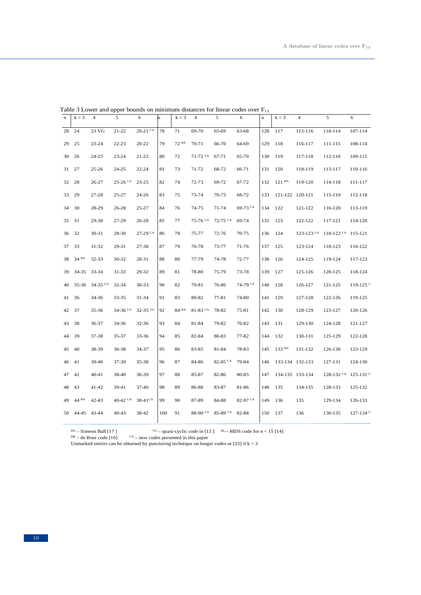| $\mathbf n$ | $k = 3$             | $\overline{4}$   | $\sqrt{5}$ | 6                     | 'n  | $k = 3$ | $\overline{4}$ | $\sqrt{5}$                              | 6          | $\bf n$ | $k = 3$           | $\overline{\mathbf{4}}$ | 5                               | 6                    |
|-------------|---------------------|------------------|------------|-----------------------|-----|---------|----------------|-----------------------------------------|------------|---------|-------------------|-------------------------|---------------------------------|----------------------|
| 28          | 24                  | 23 VG            | $21 - 22$  | $20-21$ <sup>CA</sup> | 78  | 71      | 69-70          | 65-69                                   | 63-68      | 128     | 117               | 115-116                 | 110-114                         | 107-114              |
| 29          | 25                  | $23 - 24$        | $22 - 23$  | 20-22                 | 79  | 72 BA   | 70-71          | 66-70                                   | 64-69      | 129     | 118               | 116-117                 | 111-115                         | 108-114              |
| 30          | 26                  | $24 - 25$        | $23 - 24$  | $21 - 23$             | 80  | 72      | $71-72$ CA     | 67-71                                   | 65-70      | 130     | 119               | 117-118                 | 112-116                         | 109-115              |
| 31          | 27                  | $25 - 26$        | $24 - 25$  | $22 - 24$             | 81  | 73      | 71-72          | 68-72                                   | 66-71      | 131     | 120               | 118-119                 | 113-117                         | 110-116              |
| 32          | 28                  | $26 - 27$        | $25-26$ CA | $23 - 25$             | 82  | 74      | 72-73          | 69-72                                   | 67-72      | 132     | 121 <sup>BA</sup> | 119-120                 | 114-118                         | 111-117              |
| 33          | 29                  | 27-28            | 25-27      | $24 - 26$             | 83  | 75      | 73-74          | 70-73                                   | 68-72      | 133     | 121-122 120-121   |                         | 115-119                         | 112-118              |
| 34          | 30                  | 28-29            | 26-28      | 25-27                 | 84  | 76      | 74-75          | 71-74                                   | $69-73$ CA | 134     | 122               | 121-122                 | 116-120                         | 113-119              |
| 35          | 31                  | 29-30            | 27-29      | 26-28                 | 85  | 77      | 75-76 CA       | $72-75$ CA                              | 69-74      | 135     | 123               | 122-122                 | 117-121                         | 114-120              |
| 36          | 32                  | 30-31            | 28-30      | 27-29 CA              | 86  | 78      | 75-77          | 72-76                                   | 70-75      | 136     | 124               | $123 - 123$ CA          | $118-122$ <sup>CA</sup> 115-121 |                      |
| 37          | 33                  | $31 - 32$        | 29-31      | 27-30                 | 87  | 79      | 76-78          | 73-77                                   | 71-76      | 137     | 125               | 123-124                 | 118-123                         | 116-122              |
| 38          | 34 BA               | 32-33            | 30-32      | 28-31                 | 88  | 80      | 77-79          | 74-78                                   | 72-77      | 138     | 126               | 124-125                 | 119-124                         | 117-123              |
| 39          | 34-35               | 33-34            | 31-33      | 29-32                 | 89  | 81      | 78-80          | 75-79                                   | 73-78      | 139     | 127               | 125-126                 | 120-125                         | 118-124              |
| 40          |                     | 35-36 34-35 $CA$ | 32-34      | 30-33                 | 90  | 82      | 79-81          | 76-80                                   | 74-79 CA   | 140     | 128               | 126-127                 | 121-125                         | 119-125 $C$          |
| 41          | 36                  | 34-36            | 33-35      | 31-34                 | 91  | 83      | 80-82          | 77-81                                   | 74-80      | 141     | 129               | 127-128                 | 122-126                         | 119-125              |
| 42          | 37                  | 35-36            | 34-36 CA   | $32-35$ VG            | 92  | 84 BA   | $81-83$ CA     | 78-82                                   | 75-81      | 142     | 130               | 128-129                 | 123-127                         | 120-126              |
| 43          | 38                  | 36-37            | 34-36      | 32-36                 | 93  | 84      | 81-84          | 79-82                                   | 76-82      | 143     | 131               | 129-130                 | 124-128                         | 121-127              |
| 44          | 39                  | $37 - 38$        | 35-37      | $33 - 36$             | 94  | 85      | 82-84          | 80-83                                   | 77-82      | 144     | 132               | 130-131                 | 125-129                         | 122-128              |
| 45          | 40                  | 38-39            | 36-38      | 34-37                 | 95  | 86      | 83-85          | 81-84                                   | 78-83      | 145     | 133 BA            | 131-132                 | 126-130                         | 123-129              |
| 46          | 41                  | 39-40            | 37-39      | 35-38                 | 96  | 87      | 84-86          | 82-85 CA                                | 79-84      | 146     | 133-134 132-133   |                         | 127-131                         | 124-130              |
| 47          | 42                  | $40 - 41$        | 38-40      | 36-39                 | 97  | 88      | 85-87          | 82-86                                   | 80-85      | 147     |                   | 134-135 133-134         | 128-132 CA 125-131 C            |                      |
| 48          | 43                  | $41 - 42$        | 39-41      | 37-40                 | 98  | 89      | 86-88          | 83-87                                   | 81-86      | 148     | 135               | 134-135                 | 128-133                         | 125-132              |
| 49          | $44~^{\mathrm{BA}}$ | $42 - 43$        | $40-42$ CA | $38-41$ CA            | 99  | 90      | 87-89          | 84-88                                   | 82-97 CA   | 149     | 136               | 135                     | 129-134                         | 126-133              |
| 50          | 44-45 43-44         |                  | 40-43      | 38-42                 | 100 | 91      |                | 88-90 <sup>CA</sup> 85-89 <sup>CA</sup> | 82-88      | 150     | 137               | 136                     | 130-135                         | 127-134 <sup>c</sup> |

Table 3 Lower and upper bounds on minimum distances for linear codes over  $F_{13}$ 

 $^{BA}$  – Simeon Ball [17]  $^{VG}$  – quasi-cyclic code in [13 ]  $^{Be}$ —MDS code for n < 15 [14]  $^{DB}$  – de Boer code [16]  $^{CA}$  – new codes presented in this paper

 $CA$  – new codes presented in this paper

Unmarked entries can be obtained by puncturing technique on longer codes or [23] if  $k = 3$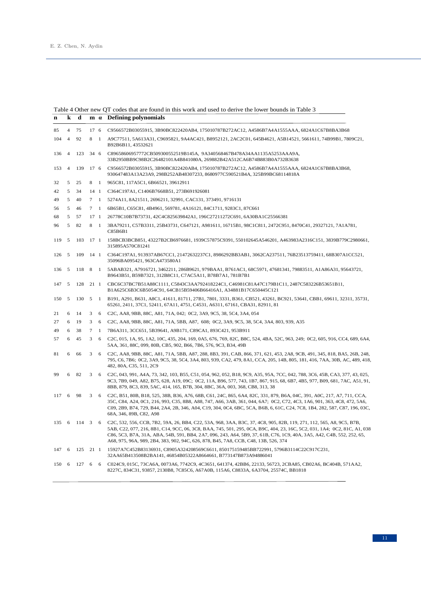### Table 4 Other new QT codes that are found in this work and used to derive the lower bounds in Table 3

| n   | k              | d   |                         | $m \alpha$     | <b>Defining polynomials</b>                                                                                                                                                                                                                                                                                                                                                                                                                                      |
|-----|----------------|-----|-------------------------|----------------|------------------------------------------------------------------------------------------------------------------------------------------------------------------------------------------------------------------------------------------------------------------------------------------------------------------------------------------------------------------------------------------------------------------------------------------------------------------|
| 85  | $\overline{4}$ | 75  | 17 6                    |                | C9566572B03055915, 3B90BC822420AB4, 175010787B272AC12, A4586B7A4A1555AAA, 6824A1C67B8BA3B68                                                                                                                                                                                                                                                                                                                                                                      |
| 104 | $\overline{4}$ | 92  | 8                       | $\overline{1}$ | A9C77511, 5A613A31, C9695821, 9A4AC421, B8952121, 2AC2C01, 645B4621, A5B14521, 5661611, 74B99B1, 7809C21,<br>B92B6B11, 43532621                                                                                                                                                                                                                                                                                                                                  |
| 136 | $\overline{4}$ | 123 | 34 6                    |                | C89658606957772CB509300552519B145A, 9A340568467B478A34AA1135A5253AAA9A,<br>33B2950BB9C98B2C26482101A4B841080A, 269882B42A512CA6B74B883B0A732B3638                                                                                                                                                                                                                                                                                                                |
| 153 | $\overline{4}$ | 139 | 17 6                    |                | C9566572B03055915, 3B90BC822420AB4, 175010787B272AC12, A4586B7A4A1555AAA, 6824A1C67B8BA3B68,<br>930647483A13A23A9, 298B252AB48307233, 8680977C590521B4A, 325B99BC68114818A                                                                                                                                                                                                                                                                                       |
| 32  | 5              | 25  | 8 1                     |                | 965C81, 117A5C1, 6B66521, 39612911                                                                                                                                                                                                                                                                                                                                                                                                                               |
| 42  | 5              | 34  | 14 1                    |                | C364C197A1, C1406B7668B51, 273B691926081                                                                                                                                                                                                                                                                                                                                                                                                                         |
| 49  | 5              | 40  | $7 \quad 1$             |                | 5274A11, 8A21511, 2696211, 32991, CAC131, 373491, 9716131                                                                                                                                                                                                                                                                                                                                                                                                        |
| 56  | 5              | 46  | 7 1                     |                | 6B65B1, C65C81, 4B4961, 569781, 4A16121, 84C1711, 9283C1, 87C661                                                                                                                                                                                                                                                                                                                                                                                                 |
| 68  | 5              | 57  | 17 <sub>1</sub>         |                | 26778C10B7B73731, 42C4C825639842A1, 196C27211272C691, 6A30BA1C25566381                                                                                                                                                                                                                                                                                                                                                                                           |
| 96  | 5              | 82  | 8 1                     |                | 3BA79211, C57B3311, 25B43731, C647121, A981611, 16715B1, 98C1C811, 2472C951, 8470C41, 29327121, 7A1A781,<br>C85B6B1                                                                                                                                                                                                                                                                                                                                              |
| 119 | 5              | 103 | 17 <sub>1</sub>         |                | 158BCB3BCB851,43227B2CB6976681,1939C57875C9391,550102645A546201,A463983A2316C151,3839B779C2980661,<br>315895A570C81241                                                                                                                                                                                                                                                                                                                                           |
| 126 | 5              | 109 | $14 \quad 1$            |                | C364C197A1, 913937AB67CC1, 21472632237C1, 8986292BB3AB1, 3062CA237511, 76B23513759411, 68B307A1CC521,<br>35096BA095421, 963CA473580A1                                                                                                                                                                                                                                                                                                                            |
| 136 | 5              | 118 | 8                       | $\overline{1}$ | 5ABAB321, A7916721, 3462211, 286B9621, 979BAA1, B761AC1, 68C5971, 47681341, 79883511, A1A86A31, 95643721,<br>B9643B51, B59B7321, 312B8C11, C7AC5A11, B78B7A1, 781B7B1                                                                                                                                                                                                                                                                                            |
| 147 | 5              | 128 | $21 \quad 1$            |                | CBC6C37BC7B51A88C1111, C5843C3AA792418224C1, C46981C81A47C179B1C11, 2487C583226B53651B11,<br>B1A625C6B3C6B5054C91, 64CB15B59406B66416A1, A34881B17C650445C121                                                                                                                                                                                                                                                                                                    |
| 150 | 5              | 130 | $5 \quad 1$             |                | B191, A291, B631, A8C1, 41611, 81711, 27B1, 7801, 3331, B361, CB521, 43261, BC921, 53641, CBB1, 69611, 32311, 35731,<br>65261, 2411, 37C1, 52411, 67A11, 4751, C4531, A6311, 67161, CBA31, 82911, 81                                                                                                                                                                                                                                                             |
| 21  | 6              | 14  | 3                       | 6              | C <sub>2</sub> C, AA8, 9BB, 88C, A81, 71A, 042; 0C <sub>2</sub> , 3A9, 9C <sub>5</sub> , 38, 5C <sub>4</sub> , 3A4, 054                                                                                                                                                                                                                                                                                                                                          |
| 27  | 6              | 19  | 3                       | 6              | C2C, AA8, 9BB, 88C, A81, 71A, 5BB, A87, 608; 0C2, 3A9, 9C5, 38, 5C4, 3A4, 803, 939, A35                                                                                                                                                                                                                                                                                                                                                                          |
| 49  | 6              | 38  | $\tau$                  | -1             | 7B6A311, 3CC651, 5B39641, A9B171, C89CA1, 893C421, 953B911                                                                                                                                                                                                                                                                                                                                                                                                       |
| 57  | 6              | 45  | 3                       | 6              | C2C, 015, 1A, 95, 1A2, 10C, 435, 204, 169, 0A5, 676, 769, 82C, B8C, 524, 4BA, 52C, 963, 249; 0C2, 605, 916, CC4, 689, 6A4,<br>5AA, 361, 88C, 099, 80B, CB5, 902, B66, 7B6, 576, 9C3, B34, 49B                                                                                                                                                                                                                                                                    |
| 81  | 6              | 66  | 3                       | 6              | C2C, AA8, 9BB, 88C, A81, 71A, 5BB, A87, 288, 8B3, 391, CAB, 866, 371, 621, 453, 2A8, 9CB, 491, 345, 818, BA5, 26B, 248,<br>795, C6, 7B6; 0C2, 3A9, 9C5, 38, 5C4, 3A4, 803, 939, CA2, 479, 8A1, CCA, 205, 14B, 805, 181, 416, 7AA, 30B, AC, 489, 418,<br>482, 80A, C35, 511, 2C9                                                                                                                                                                                  |
| 99  | 6              | 82  | 3                       | -6             | C2C, 043, 991, A4A, 73, 342, 103, B55, C51, 054, 962, 052, B18, 9C9, A35, 95A, 7CC, 042, 788, 3C6, 45B, CA3, 377, 43, 025,<br>9C3, 7B9, 049, A82, B75, 628, A19, 09C; 0C2, 11A, B96, 577, 743, 1B7, 867, 915, 68, 6B7, 4B5, 977, B09, 681, 7AC, A51, 91,<br>8BB, 879, 8C3, 839, 5AC, 414, 165, B7B, 304, 8BC, 36A, 003, 368, CB8, 313, 38                                                                                                                        |
| 117 | 6              | 98  | 3                       | 6              | C2C, B51, 80B, B18, 525, 38B, B36, A76, 68B, C61, 24C, 865, 6A4, 82C, 331, 879, B6A, 04C, 391, A0C, 217, A7, 711, CCA,<br>35C, C84, A24, 0C1, 216, 993, C35, 8B8, A88, 747, A66, 3AB, 361, 044, 6A7; 0C2, C72, 4C3, 1A6, 901, 363, 4C8, 472, 5A6,<br>C09, 2B9, B74, 729, B44, 2A4, 2B, 346, A04, C19, 304, 0C4, 6BC, 5CA, B6B, 6, 61C, C24, 7C8, 1B4, 282, 587, C87, 196, 03C,<br>68A, 346, 89B, C82, A98                                                        |
| 135 | -6             | 114 | $\overline{\mathbf{3}}$ | 6              | C2C, 532, 556, CCB, 7B2, 59A, 26, BB4, C22, 53A, 968, 3AA, B3C, 37, 4C8, 905, 82B, 119, 271, 112, 565, A8, 9C5, B7B,<br>5AB, C22, 077, 216, 8B1, C14, 9CC, 06, 3C8, BAA, 745, 501, 295, 0CA, B9C, 404, 23, 16C, 5C2, 031, 1A4; 0C2, 81C, A1, 038<br>C86, 5C3, B7A, 31A, ABA, 54B, 591, BB4, 2A7, 096, 243, A64, 5B9, 37, 61B, C76, 1C9, 40A, 3A5, A42, C4B, 552, 252, 65,<br>A68, 975, 96A, 989, 2B4, 383, 902, 94C, 626, 878, B45, 7A8, CCB, C48, 13B, 526, 374 |
| 147 | -6             | 125 | 21 1                    |                | 15927A7C452B83136931, C8905A324208569C6611, 850175159485BB722991, 5796B3114C22C917C231,<br>32AA65B413508B2BA141, 46854B05322A8664661, B773147B873A94886041                                                                                                                                                                                                                                                                                                       |
| 150 | - 6            | 127 | 6 6                     |                | C024C9, 015C, 73CA6A, 0073A6, 7742C9, 4C3651, 641374, 42BB6, 22133, 56723, 2CBA85, CB02A6, BC404B, 571AA2,<br>8227C, 834C31, 93857, 2130B8, 7C85C6, A67A0B, 115A6, C8833A, 6A3704, 25574C, BB1818                                                                                                                                                                                                                                                                |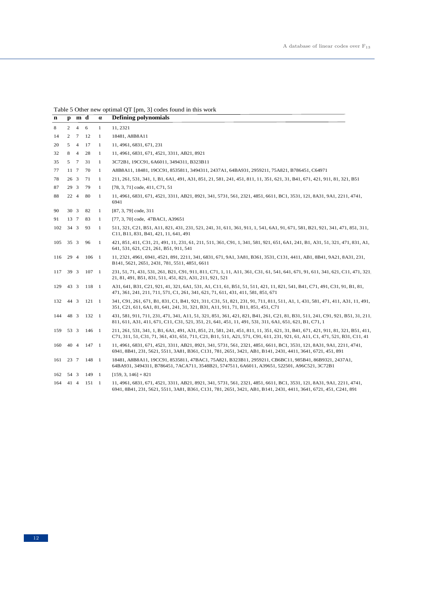# Table 5 Other new optimal QT [pm, 3] codes found in this work

| $\mathbf n$ |                | $p$ m d         |               | $\alpha$     | <b>Defining polynomials</b>                                                                                                                                                                                                                                    |
|-------------|----------------|-----------------|---------------|--------------|----------------------------------------------------------------------------------------------------------------------------------------------------------------------------------------------------------------------------------------------------------------|
| 8           | $\overline{2}$ | $4\quad 6$      |               | $\mathbf{1}$ | 11, 2321                                                                                                                                                                                                                                                       |
| 14          | 2              | $7\phantom{.0}$ | 12            | $\mathbf{1}$ | 18481, A8B8A11                                                                                                                                                                                                                                                 |
| 20          | 5              | $\overline{4}$  | 17            | $\mathbf{1}$ | 11, 4961, 6831, 671, 231                                                                                                                                                                                                                                       |
| 32          | 8 4            |                 | 28            | $\mathbf{1}$ | 11, 4961, 6831, 671, 4521, 3311, AB21, 8921                                                                                                                                                                                                                    |
| 35          |                | 5 7             | 31            | $\mathbf{1}$ | 3C72B1, 19CC91, 6A6011, 3494311, B323B11                                                                                                                                                                                                                       |
| 77          | 11 7           |                 | 70            | $\mathbf{1}$ | A8B8A11, 18481, 19CC91, 8535811, 3494311, 2437A1, 64BA931, 2959211, 75A821, B786451, C64971                                                                                                                                                                    |
| 78          | 263            |                 | 71            | $\mathbf{1}$ | 211, 261, 531, 341, 1, B1, 6A1, 491, A31, 851, 21, 581, 241, 451, 811, 11, 351, 621, 31, B41, 671, 421, 911, 81, 321, B51                                                                                                                                      |
| 87          | 29 3           |                 | 79            | $\mathbf{1}$ | [78, 3, 71] code, 411, C71, 51                                                                                                                                                                                                                                 |
| 88          | 22 4           |                 | 80            | $\mathbf{1}$ | 11, 4961, 6831, 671, 4521, 3311, AB21, 8921, 341, 5731, 561, 2321, 4851, 6611, BC1, 3531, 121, 8A31, 9A1, 2211, 4741,<br>6941                                                                                                                                  |
| 90          | 30 3           |                 | 82            | $\mathbf{1}$ | [87, 3, 79] code, 311                                                                                                                                                                                                                                          |
| 91          | 13 7           |                 | 83            | $\mathbf{1}$ | [77, 3, 70] code, 47BAC1, A39651                                                                                                                                                                                                                               |
| 102         | $34 \quad 3$   |                 | 93            | $\mathbf{1}$ | 511, 321, C21, B51, A11, 821, 431, 231, 521, 241, 31, 611, 361, 911, 1, 541, 6A1, 91, 671, 581, B21, 921, 341, 471, 851, 311,<br>C11, B11, 831, B41, 421, 11, 641, 491                                                                                         |
| 105         | $35 \quad 3$   |                 | 96            | 1            | 421, 851, 411, C31, 21, 491, 11, 231, 61, 211, 511, 361, C91, 1, 341, 581, 921, 651, 6A1, 241, B1, A31, 51, 321, 471, 831, A1,<br>641, 531, 621, C21, 261, B51, 911, 541                                                                                       |
| 116         | 29 4           |                 | 106 1         |              | 11, 2321, 4961, 6941, 4521, 891, 2211, 341, 6831, 671, 9A1, 3A81, B361, 3531, C131, 4411, AB1, 8B41, 9A21, 8A31, 231,<br>B141, 5621, 2651, 2431, 781, 5511, 4851, 6611                                                                                         |
| 117         | 39 3           |                 | $107 \quad 1$ |              | 231, 51, 71, 431, 531, 261, B21, C91, 911, 811, C71, 1, 11, A11, 361, C31, 61, 541, 641, 671, 91, 611, 341, 621, C11, 471, 321<br>21, 81, 491, B51, 831, 511, 451, 821, A31, 211, 921, 521                                                                     |
| 129         | 43 3           |                 | 118 1         |              | A31, 641, B31, C21, 921, 41, 321, 6A1, 531, A1, C11, 61, B51, 51, 511, 421, 11, 821, 541, B41, C71, 491, C31, 91, B1, 81,<br>471, 361, 241, 211, 711, 571, C1, 261, 341, 621, 71, 611, 431, 411, 581, 851, 671                                                 |
| 132         | 44 3           |                 | $121 \quad 1$ |              | 341, C91, 261, 671, B1, 831, C1, B41, 921, 311, C31, 51, 821, 231, 91, 711, 811, 511, A1, 1, 431, 581, 471, 411, A31, 11, 491,<br>351, C21, 611, 6A1, 81, 641, 241, 31, 321, B31, A11, 911, 71, B11, 851, 451, C71                                             |
| 144         | 48 3           |                 | 132 1         |              | 431, 581, 911, 711, 231, 471, 341, A11, 51, 321, 851, 361, 421, 821, B41, 261, C21, 81, B31, 511, 241, C91, 921, B51, 31, 211<br>811, 611, A31, 411, 671, C11, C31, 521, 351, 21, 641, 451, 11, 491, 531, 311, 6A1, 651, 621, B1, C71, 1                       |
| 159         | 53 3           |                 | $146 \quad 1$ |              | 211, 261, 531, 341, 1, B1, 6A1, 491, A31, 851, 21, 581, 241, 451, 811, 11, 351, 621, 31, B41, 671, 421, 911, 81, 321, B51, 411,<br>C71, 311, 51, C31, 71, 361, 431, 651, 711, C21, B11, 511, A21, 571, C91, 611, 231, 921, 61, A11, C1, 471, 521, B31, C11, 41 |
| 160         | 40 4           |                 | $147 \quad 1$ |              | 11, 4961, 6831, 671, 4521, 3311, AB21, 8921, 341, 5731, 561, 2321, 4851, 6611, BC1, 3531, 121, 8A31, 9A1, 2211, 4741,<br>6941, 8B41, 231, 5621, 5511, 3A81, B361, C131, 781, 2651, 3421, AB1, B141, 2431, 4411, 3641, 6721, 451, 891                           |
| 161         | 23 7           |                 | 148 1         |              | 18481, A8B8A11, 19CC91, 8535811, 47BAC1, 75A821, B323B11, 2959211, CB6BC11, 985B41, 86B9321, 2437A1,<br>64BA931, 3494311, B786451, 7ACA711, 3548B21, 5747511, 6A6011, A39651, 522501, A96C521, 3C72B1                                                          |
| 162 54 3    |                |                 | 149 1         |              | $[159, 3, 146] + 821$                                                                                                                                                                                                                                          |
| 164         | 41 4           |                 | $151 \quad 1$ |              | 11, 4961, 6831, 671, 4521, 3311, AB21, 8921, 341, 5731, 561, 2321, 4851, 6611, BC1, 3531, 121, 8A31, 9A1, 2211, 4741,<br>6941, 8B41, 231, 5621, 5511, 3A81, B361, C131, 781, 2651, 3421, AB1, B141, 2431, 4411, 3641, 6721, 451, C241, 891                     |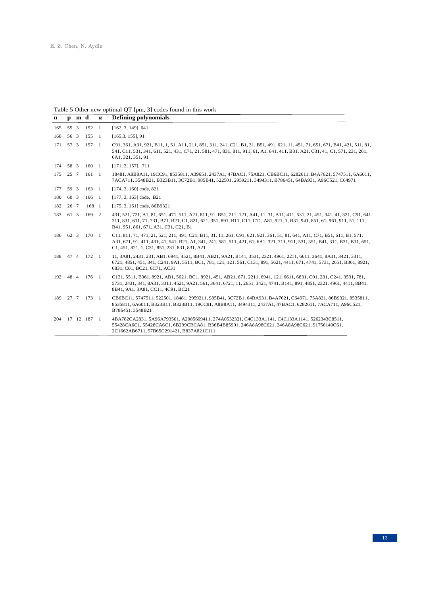### Table 5 Other new optimal QT [pm, 3] codes found in this work

| $\mathbf n$ | $\mathbf{p}$ | m d |                | $\alpha$ | <b>Defining polynomials</b>                                                                                                                                                                                                                                                                                  |
|-------------|--------------|-----|----------------|----------|--------------------------------------------------------------------------------------------------------------------------------------------------------------------------------------------------------------------------------------------------------------------------------------------------------------|
| 165         | 55 3         |     | 152 1          |          | [162, 3, 149], 641                                                                                                                                                                                                                                                                                           |
| 168         | 56 3         |     | 155 1          |          | $[165, 3, 155]$ , 91                                                                                                                                                                                                                                                                                         |
| 171 57 3    |              |     | 157 1          |          | C91, 361, A31, 921, B11, 1, 51, A11, 211, 851, 311, 241, C21, B1, 31, B51, 491, 621, 11, 451, 71, 651, 671, B41, 421, 511, 81,<br>541, C11, 531, 341, 611, 521, 431, C71, 21, 581, 471, 831, 811, 911, 61, A1, 641, 411, B31, A21, C31, 41, C1, 571, 231, 261,<br>6A1, 321, 351, 91                          |
| 174         | 58 3         |     | 160 1          |          | [171, 3, 157], 711                                                                                                                                                                                                                                                                                           |
| 175         | 25 7         |     | $161 \quad 1$  |          | 18481, A8B8A11, 19CC91, 8535811, A39651, 2437A1, 47BAC1, 75A821, CB6BC11, 6282611, B4A7621, 5747511, 6A6011,<br>7ACA711, 3548B21, B323B11, 3C72B1, 985B41, 522501, 2959211, 3494311, B786451, 64BA931, A96C521, C64971                                                                                       |
| 177         | 59 3         |     | $163 \quad 1$  |          | $[174, 3, 160]$ code, 821                                                                                                                                                                                                                                                                                    |
| 180         | 60 3         |     | 166 1          |          | [177, 3, 163] code, B21                                                                                                                                                                                                                                                                                      |
| 182         | 26 7         |     | 168 1          |          | [175, 3, 161] code, 86B9321                                                                                                                                                                                                                                                                                  |
| 183         | 61 3         |     | 169 2          |          | 431, 521, 721, A1, 81, 651, 471, 511, A21, 811, 91, B51, 711, 121, A41, 11, 31, A11, 411, 531, 21, 451, 341, 41, 321, C91, 641<br>311, 831, 611, 71, 731, B71, B21, C1, 821, 621, 351, 891, B11, C11, C71, A81, 921, 1, B31, 941, 851, 61, 961, 911, 51, 111,<br>B41, 951, 861, 671, A31, C31, C21, B1       |
| 186         | 62 3         |     | 170 1          |          | C11, 811, 71, 471, 21, 521, 211, 491, C21, B11, 31, 11, 261, C91, 621, 921, 361, 51, 81, 641, A11, C71, B51, 611, B1, 571,<br>A31, 671, 91, 411, 431, 41, 541, B21, A1, 341, 241, 581, 511, 421, 61, 6A1, 321, 711, 911, 531, 351, B41, 311, B31, B31, 651,<br>C1, 451, 821, 1, C31, 851, 231, 831, 831, A21 |
| 188 47 4    |              |     | 172 1          |          | 11, 3A81, 2431, 231, AB1, 6941, 4521, 8B41, AB21, 9A21, B141, 3531, 2321, 4961, 2211, 6611, 3641, 8A31, 3421, 3311,<br>6721, 4851, 451, 341, C241, 9A1, 5511, BC1, 781, 121, 121, 561, C131, 891, 5621, 4411, 671, 4741, 5731, 2651, B361, 8921,<br>6831, C01, BC21, 6C71, AC31                              |
| 192         | 48 4         |     | 176 1          |          | C131, 5511, B361, 8921, AB1, 5621, BC1, 8921, 451, AB21, 671, 2211, 6941, 121, 6611, 6831, C01, 231, C241, 3531, 781,<br>5731, 2431, 341, 8A31, 3311, 4521, 9A21, 561, 3641, 6721, 11, 2651, 3421, 4741, B141, 891, 4851, 2321, 4961, 4411, 8B41,<br>8B41, 9A1, 3A81, CC11, 4C91, BC21                       |
|             |              |     | 189 27 7 173 1 |          | CB6BC11, 5747511, 522501, 18481, 2959211, 985B41, 3C72B1, 64BA931, B4A7621, C64971, 75A821, 86B9321, 8535811,<br>8535811, 6A6011, B323B11, B323B11, 19CC91, A8B8A11, 3494311, 2437A1, 47BAC1, 6282611, 7ACA711, A96C521,<br>B786451, 3548B21                                                                 |
| 204         |              |     | 17 12 187 1    |          | 4BA782CA2831, 5A96A793501, A2085669411, 274A0532321, C4C133A1141, C4C133A1141, 5262343C8511,<br>55428CA6C1, 55428CA6C1, 6B299CBCA81, B36B4B85991, 246A8A98C621, 246A8A98C621, 91756140C61,<br>2C1662AB6711, 57B65C291421, B837A821C111                                                                       |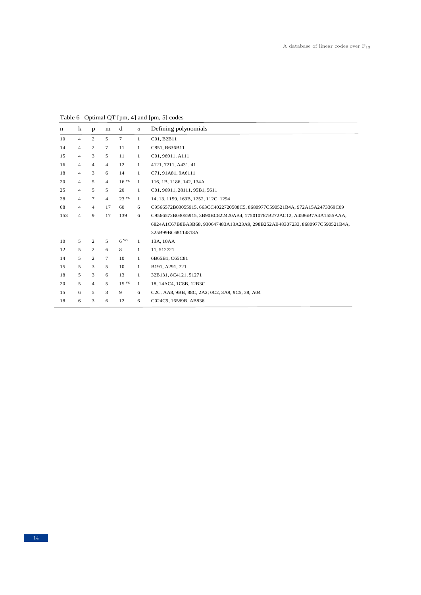Table 6 Optimal QT [pm, 4] and [pm, 5] codes

| n   | k              | p              | m              | d                | $\alpha$     | Defining polynomials                                                        |
|-----|----------------|----------------|----------------|------------------|--------------|-----------------------------------------------------------------------------|
| 10  | $\overline{4}$ | 2              | 5              | 7                | $\mathbf{1}$ | C01, B2B11                                                                  |
| 14  | $\overline{4}$ | 2              | $\tau$         | 11               | $\mathbf{1}$ | C851, B636B11                                                               |
| 15  | $\overline{4}$ | 3              | 5              | 11               | $\mathbf{1}$ | C01, 96911, A111                                                            |
| 16  | $\overline{4}$ | $\overline{4}$ | $\overline{4}$ | 12               | $\mathbf{1}$ | 4121, 7211, A431, 41                                                        |
| 18  | $\overline{4}$ | 3              | 6              | 14               | $\mathbf{1}$ | C71, 91A81, 9A6111                                                          |
| 20  | $\overline{4}$ | 5              | $\overline{4}$ | 16 <sup>VG</sup> | $\mathbf{1}$ | 116, 1B, 1186, 142, 134A                                                    |
| 25  | $\overline{4}$ | 5              | 5              | 20               | $\mathbf{1}$ | C01, 96911, 28111, 95B1, 5611                                               |
| 28  | $\overline{4}$ | $\tau$         | $\overline{4}$ | 23 <sup>VG</sup> | $\mathbf{1}$ | 14, 13, 1159, 163B, 1252, 112C, 1294                                        |
| 68  | $\overline{4}$ | $\overline{4}$ | 17             | 60               | 6            | C9566572B03055915, 663CC4022720508C5, 8680977C590521B4A, 972A15A2473369C09  |
| 153 | $\overline{4}$ | 9              | 17             | 139              | 6            | C9566572B03055915, 3B90BC822420AB4, 175010787B272AC12, A4586B7A4A1555AAA,   |
|     |                |                |                |                  |              | 6824A1C67B8BA3B68, 930647483A13A23A9, 298B252AB48307233, 8680977C590521B4A, |
|     |                |                |                |                  |              | 325B99BC68114818A                                                           |
| 10  | 5              | 2              | 5              | 6 <sup>VG</sup>  | 1            | 13A, 10AA                                                                   |
| 12  | 5              | 2              | 6              | 8                | $\mathbf{1}$ | 11,512721                                                                   |
| 14  | 5              | 2              | $\tau$         | 10               | $\mathbf{1}$ | 6B65B1, C65C81                                                              |
| 15  | 5              | 3              | 5              | 10               | $\mathbf{1}$ | B191, A291, 721                                                             |
| 18  | 5              | 3              | 6              | 13               | $\mathbf{1}$ | 32B131, 8C4121, 51271                                                       |
| 20  | 5              | $\overline{4}$ | 5              | 15 <sup>VG</sup> | $\mathbf{1}$ | 18, 14AC4, 1C8B, 12B3C                                                      |
| 15  | 6              | 5              | 3              | 9                | 6            | C2C, AA8, 9BB, 88C, 2A2; 0C2, 3A9, 9C5, 38, A04                             |
| 18  | 6              | 3              | 6              | 12               | 6            | C024C9, 16589B, AB836                                                       |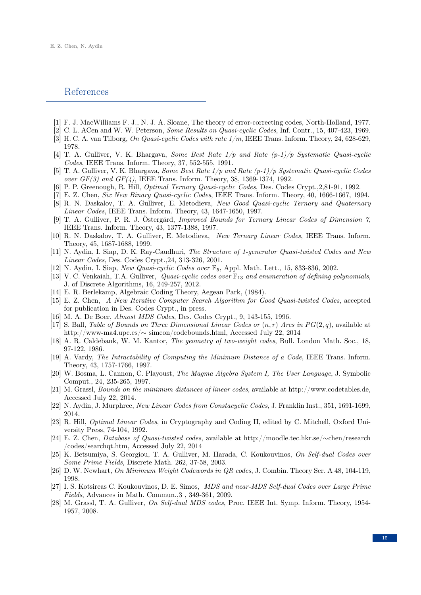### References

- <span id="page-14-17"></span>[1] F. J. MacWilliams F. J., N. J. A. Sloane, The theory of error-correcting codes, North-Holland, 1977.
- <span id="page-14-1"></span>[2] C. L. ACen and W. W. Peterson, Some Results on Quasi-cyclic Codes, Inf. Contr., 15, 407-423, 1969.
- [3] H. C. A. van Tilborg, On Quasi-cyclic Codes with rate 1/m, IEEE Trans. Inform. Theory, 24, 628-629, 1978.
- <span id="page-14-11"></span>[4] T. A. Gulliver, V. K. Bhargava, Some Best Rate  $1/p$  and Rate  $(p-1)/p$  Systematic Quasi-cyclic Codes, IEEE Trans. Inform. Theory, 37, 552-555, 1991.
- <span id="page-14-14"></span>[5] T. A. Gulliver, V. K. Bhargava, Some Best Rate 1/p and Rate (p-1)/p Systematic Quasi-cyclic Codes over  $GF(3)$  and  $GF(4)$ , IEEE Trans. Inform. Theory, 38, 1369-1374, 1992.
- [6] P. P. Greenough, R. Hill, Optimal Ternary Quasi-cyclic Codes, Des. Codes Crypt.,2,81-91, 1992.
- [7] E. Z. Chen, Six New Binary Quasi-cyclic Codes, IEEE Trans. Inform. Theory, 40, 1666-1667, 1994.
- [8] R. N. Daskalov, T. A. Gulliver, E. Metodieva, New Good Quasi-cyclic Ternary and Quaternary Linear Codes, IEEE Trans. Inform. Theory, 43, 1647-1650, 1997.
- <span id="page-14-15"></span>[9] T. A. Gulliver, P. R. J. Östergård, Improved Bounds for Ternary Linear Codes of Dimension 7, IEEE Trans. Inform. Theory, 43, 1377-1388, 1997.
- <span id="page-14-16"></span>[10] R. N. Daskalov, T. A. Gulliver, E. Metodieva, New Ternary Linear Codes, IEEE Trans. Inform. Theory, 45, 1687-1688, 1999.
- [11] N. Aydin, I. Siap, D. K. Ray-Caudhuri, The Structure of 1-generator Quasi-twisted Codes and New Linear Codes, Des. Codes Crypt.,24, 313-326, 2001.
- [12] N. Aydin, I. Siap, New Quasi-cyclic Codes over F5, Appl. Math. Lett., 15, 833-836, 2002.
- <span id="page-14-2"></span>[13] V. C. Venkaiah, T.A. Gulliver, Quasi-cyclic codes over  $\mathbb{F}_{13}$  and enumeration of defining polynomials, J. of Discrete Algorithms, 16, 249-257, 2012.
- <span id="page-14-13"></span>[14] E. R. Berlekamp, Algebraic Coding Theory, Aegean Park, (1984).
- <span id="page-14-12"></span>[15] E. Z. Chen, A New Iterative Computer Search Algorithm for Good Quasi-twisted Codes, accepted for publication in Des. Codes Crypt., in press.
- <span id="page-14-7"></span>[16] M. A. De Boer, Almost MDS Codes, Des. Codes Crypt., 9, 143-155, 1996.
- <span id="page-14-19"></span>[17] S. Ball, Table of Bounds on Three Dimensional Linear Codes or  $(n, r)$  Arcs in  $PG(2, q)$ , available at http://www-ma4.upc.es/∼ simeon/codebounds.html, Accessed July 22, 2014
- [18] A. R. Caldebank, W. M. Kantor, The geometry of two-weight codes, Bull. London Math. Soc., 18, 97-122, 1986.
- <span id="page-14-0"></span>[19] A. Vardy, The Intractability of Computing the Minimum Distance of a Code, IEEE Trans. Inform. Theory, 43, 1757-1766, 1997.
- <span id="page-14-4"></span>[20] W. Bosma, L. Cannon, C. Playoust, The Magma Algebra System I, The User Language, J. Symbolic Comput., 24, 235-265, 1997.
- <span id="page-14-3"></span>[21] M. Grassl, Bounds on the minimum distances of linear codes, available at http://www.codetables.de, Accessed July 22, 2014.
- <span id="page-14-18"></span>[22] N. Aydin, J. Murphree, New Linear Codes from Constacyclic Codes, J. Franklin Inst., 351, 1691-1699, 2014.
- <span id="page-14-20"></span>[23] R. Hill, Optimal Linear Codes, in Cryptography and Coding II, edited by C. Mitchell, Oxford University Press, 74-104, 1992.
- <span id="page-14-5"></span>[24] E. Z. Chen, Database of Quasi-twisted codes, available at http://moodle.tec.hkr.se/∼chen/research /codes/searchqt.htm, Accessed July 22, 2014
- <span id="page-14-6"></span>[25] K. Betsumiya, S. Georgiou, T. A. Gulliver, M. Harada, C. Koukouvinos, On Self-dual Codes over Some Prime Fields, Discrete Math. 262, 37-58, 2003.
- <span id="page-14-8"></span>[26] D. W. Newhart, On Minimum Weight Codewords in QR codes, J. Combin. Theory Ser. A 48, 104-119, 1998.
- <span id="page-14-10"></span>[27] I. S. Kotsireas C. Koukouvinos, D. E. Simos, MDS and near-MDS Self-dual Codes over Large Prime Fields, Advances in Math. Commun.,3 , 349-361, 2009.
- <span id="page-14-9"></span>[28] M. Grassl, T. A. Gulliver, On Self-dual MDS codes, Proc. IEEE Int. Symp. Inform. Theory, 1954- 1957, 2008.